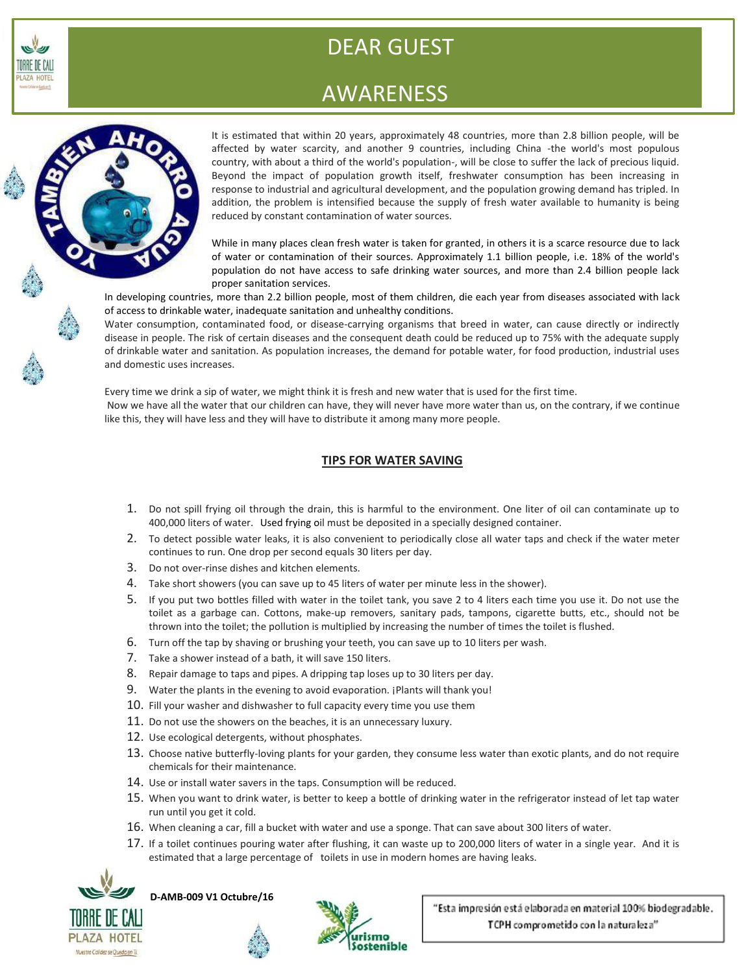

# DEAR GUEST

## AWARENESS



It is estimated that within 20 years, approximately 48 countries, more than 2.8 billion people, will be affected by water scarcity, and another 9 countries, including China -the world's most populous country, with about a third of the world's population-, will be close to suffer the lack of precious liquid. Beyond the impact of population growth itself, freshwater consumption has been increasing in response to industrial and agricultural development, and the population growing demand has tripled. In addition, the problem is intensified because the supply of fresh water available to humanity is being reduced by constant contamination of water sources.

While in many places clean fresh water is taken for granted, in others it is a scarce resource due to lack of water or contamination of their sources. Approximately 1.1 billion people, i.e. 18% of the world's population do not have access to safe drinking water sources, and more than 2.4 billion people lack proper sanitation services.

In developing countries, more than 2.2 billion people, most of them children, die each year from diseases associated with lack of access to drinkable water, inadequate sanitation and unhealthy conditions.

Water consumption, contaminated food, or disease-carrying organisms that breed in water, can cause directly or indirectly disease in people. The risk of certain diseases and the consequent death could be reduced up to 75% with the adequate supply of drinkable water and sanitation. As population increases, the demand for potable water, for food production, industrial uses and domestic uses increases.

Every time we drink a sip of water, we might think it is fresh and new water that is used for the first time. Now we have all the water that our children can have, they will never have more water than us, on the contrary, if we continue like this, they will have less and they will have to distribute it among many more people.

### **TIPS FOR WATER SAVING**

- 1. Do not spill frying oil through the drain, this is harmful to the environment. One liter of oil can contaminate up to 400,000 liters of water. Used frying oil must be deposited in a specially designed container.
- 2. To detect possible water leaks, it is also convenient to periodically close all water taps and check if the water meter continues to run. One drop per second equals 30 liters per day.
- 3. Do not over-rinse dishes and kitchen elements.
- 4. Take short showers (you can save up to 45 liters of water per minute less in the shower).
- 5. If you put two bottles filled with water in the toilet tank, you save 2 to 4 liters each time you use it. Do not use the toilet as a garbage can. Cottons, make-up removers, sanitary pads, tampons, cigarette butts, etc., should not be thrown into the toilet; the pollution is multiplied by increasing the number of times the toilet is flushed.
- 6. Turn off the tap by shaving or brushing your teeth, you can save up to 10 liters per wash.
- 7. Take a shower instead of a bath, it will save 150 liters.
- 8. Repair damage to taps and pipes. A dripping tap loses up to 30 liters per day.
- 9. Water the plants in the evening to avoid evaporation. ¡Plants will thank you!
- 10. Fill your washer and dishwasher to full capacity every time you use them
- 11. Do not use the showers on the beaches, it is an unnecessary luxury.
- 12. Use ecological detergents, without phosphates.
- 13. Choose native butterfly-loving plants for your garden, they consume less water than exotic plants, and do not require chemicals for their maintenance.
- 14. Use or install water savers in the taps. Consumption will be reduced.
- 15. When you want to drink water, is better to keep a bottle of drinking water in the refrigerator instead of let tap water run until you get it cold.
- 16. When cleaning a car, fill a bucket with water and use a sponge. That can save about 300 liters of water.
- 17. If a toilet continues pouring water after flushing, it can waste up to 200,000 liters of water in a single year. And it is estimated that a large percentage of toilets in use in modern homes are having leaks.



**D-AMB-009 V1 Octubre/16** 



"Esta impresión está elaborada en material 100% biodegradable. TCPH comprometido con la naturaleza"